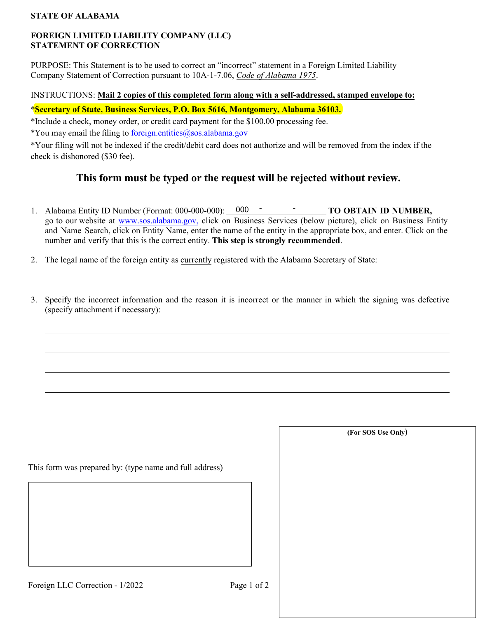#### **STATE OF ALABAMA**

#### **FOREIGN LIMITED LIABILITY COMPANY (LLC) STATEMENT OF CORRECTION**

PURPOSE: This Statement is to be used to correct an "incorrect" statement in a Foreign Limited Liability Company Statement of Correction pursuant to 10A-1-7.06, *Code of Alabama 1975*.

### INSTRUCTIONS: **Mail 2 copies of this completed form along with a self-addressed, stamped envelope to:**

## \***Secretary of State, Business Services, P.O. Box 5616, Montgomery, Alabama 36103.**

\*Include a check, money order, or credit card payment for the \$100.00 processing fee.

\*You may email the filing to foreign.entities@sos.alabama.gov

\*Your filing will not be indexed if the credit/debit card does not authorize and will be removed from the index if the check is dishonored (\$30 fee).

# **This form must be typed or the request will be rejected without review.**

- 1. Alabama Entity ID Number (Format: 000-000-000): 000 TO OBTAIN ID NUMBER, go to our website at [www.sos.alabama.gov](http://www.sos.alabama.gov/), click on Business Services (below picture), click on Business Entity and Name Search, click on Entity Name, enter the name of the entity in the appropriate box, and enter. Click on the number and verify that this is the correct entity. **This step is strongly recommended**.
- 2. The legal name of the foreign entity as currently registered with the Alabama Secretary of State:
- 3. Specify the incorrect information and the reason it is incorrect or the manner in which the signing was defective (specify attachment if necessary):

This form was prepared by: (type name and full address)

**(For SOS Use Only**)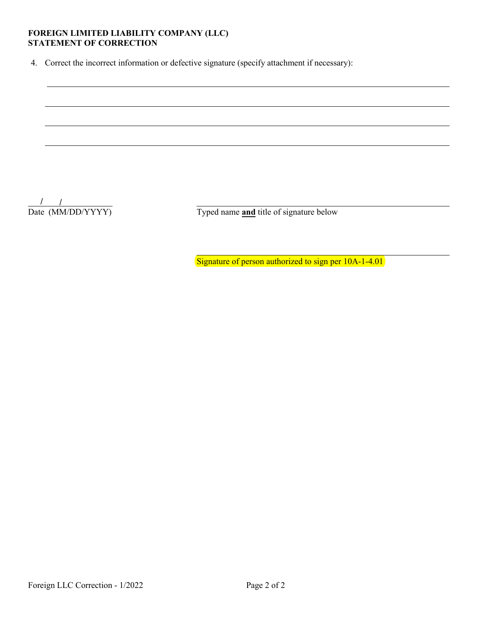# FOREIGN LIMITED LIABILITY COMPANY (LLC)<br>STATEMENT OF CORRECTION

4. Correct the incorrect information or defective signature (specify attachment if necessary):

 $\frac{1}{\text{Date (MM/DD/YYYY)}}$ 

Typed name and title of signature below

Signature of person authorized to sign per 10A-1-4.01